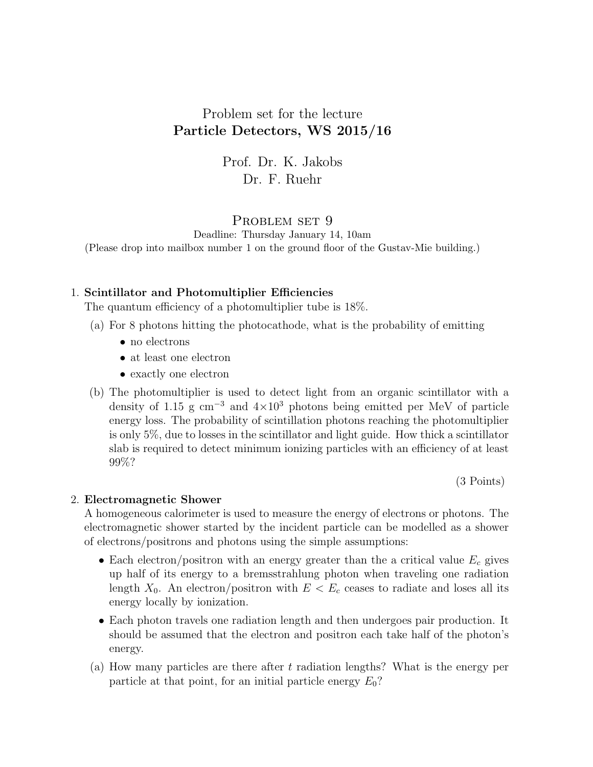# Problem set for the lecture Particle Detectors, WS 2015/16

Prof. Dr. K. Jakobs Dr. F. Ruehr

## PROBLEM SET 9

Deadline: Thursday January 14, 10am (Please drop into mailbox number 1 on the ground floor of the Gustav-Mie building.)

### 1. Scintillator and Photomultiplier Efficiencies

The quantum efficiency of a photomultiplier tube is 18%.

- (a) For 8 photons hitting the photocathode, what is the probability of emitting
	- no electrons
	- at least one electron
	- exactly one electron
- (b) The photomultiplier is used to detect light from an organic scintillator with a density of 1.15 g cm<sup>-3</sup> and  $4\times10^3$  photons being emitted per MeV of particle energy loss. The probability of scintillation photons reaching the photomultiplier is only 5%, due to losses in the scintillator and light guide. How thick a scintillator slab is required to detect minimum ionizing particles with an efficiency of at least 99%?

(3 Points)

#### 2. Electromagnetic Shower

A homogeneous calorimeter is used to measure the energy of electrons or photons. The electromagnetic shower started by the incident particle can be modelled as a shower of electrons/positrons and photons using the simple assumptions:

- Each electron/positron with an energy greater than the a critical value  $E_c$  gives up half of its energy to a bremsstrahlung photon when traveling one radiation length  $X_0$ . An electron/positron with  $E < E_c$  ceases to radiate and loses all its energy locally by ionization.
- Each photon travels one radiation length and then undergoes pair production. It should be assumed that the electron and positron each take half of the photon's energy.
- (a) How many particles are there after  $t$  radiation lengths? What is the energy per particle at that point, for an initial particle energy  $E_0$ ?